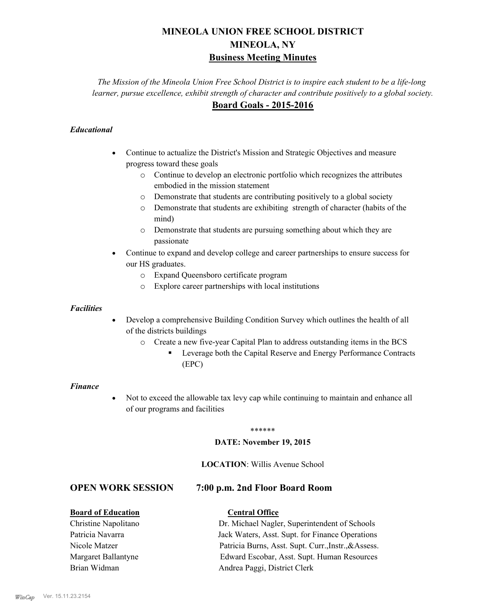# **MINEOLA UNION FREE SCHOOL DISTRICT MINEOLA, NY Business Meeting Minutes**

*The Mission of the Mineola Union Free School District is to inspire each student to be a life-long learner, pursue excellence, exhibit strength of character and contribute positively to a global society.* **Board Goals - 2015-2016**

# *Educational*

- · Continue to actualize the District's Mission and Strategic Objectives and measure progress toward these goals
	- o Continue to develop an electronic portfolio which recognizes the attributes embodied in the mission statement
	- o Demonstrate that students are contributing positively to a global society
	- o Demonstrate that students are exhibiting strength of character (habits of the mind)
	- o Demonstrate that students are pursuing something about which they are passionate
- Continue to expand and develop college and career partnerships to ensure success for our HS graduates.
	- o Expand Queensboro certificate program
	- o Explore career partnerships with local institutions

## *Facilities*

- Develop a comprehensive Building Condition Survey which outlines the health of all of the districts buildings
	- o Create a new five-year Capital Plan to address outstanding items in the BCS
		- § Leverage both the Capital Reserve and Energy Performance Contracts (EPC)

#### *Finance*

• Not to exceed the allowable tax levy cap while continuing to maintain and enhance all of our programs and facilities

#### \*\*\*\*\*\*

#### **DATE: November 19, 2015**

### **LOCATION**: Willis Avenue School

# **OPEN WORK SESSION 7:00 p.m. 2nd Floor Board Room**

# **Board of Education Central Office**

Christine Napolitano Dr. Michael Nagler, Superintendent of Schools Patricia Navarra Jack Waters, Asst. Supt. for Finance Operations Nicole Matzer Patricia Burns, Asst. Supt. Curr.,Instr.,&Assess. Margaret Ballantyne Edward Escobar, Asst. Supt. Human Resources Brian Widman **Andrea Paggi, District Clerk**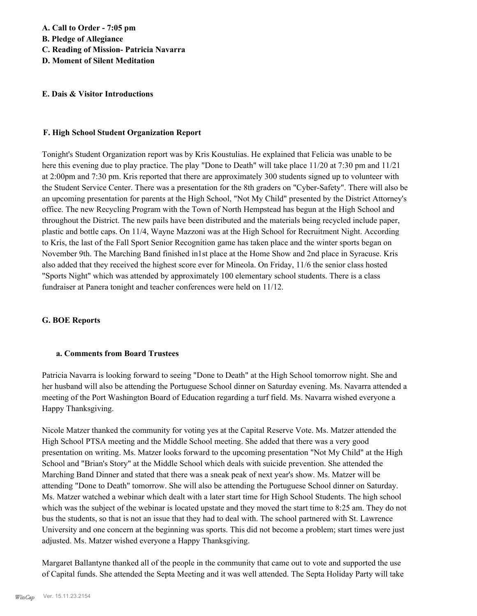#### **E. Dais & Visitor Introductions**

#### **F. High School Student Organization Report**

Tonight's Student Organization report was by Kris Koustulias. He explained that Felicia was unable to be here this evening due to play practice. The play "Done to Death" will take place 11/20 at 7:30 pm and 11/21 at 2:00pm and 7:30 pm. Kris reported that there are approximately 300 students signed up to volunteer with the Student Service Center. There was a presentation for the 8th graders on "Cyber-Safety". There will also be an upcoming presentation for parents at the High School, "Not My Child" presented by the District Attorney's office. The new Recycling Program with the Town of North Hempstead has begun at the High School and throughout the District. The new pails have been distributed and the materials being recycled include paper, plastic and bottle caps. On 11/4, Wayne Mazzoni was at the High School for Recruitment Night. According to Kris, the last of the Fall Sport Senior Recognition game has taken place and the winter sports began on November 9th. The Marching Band finished in1st place at the Home Show and 2nd place in Syracuse. Kris also added that they received the highest score ever for Mineola. On Friday, 11/6 the senior class hosted "Sports Night" which was attended by approximately 100 elementary school students. There is a class fundraiser at Panera tonight and teacher conferences were held on 11/12.

#### **G. BOE Reports**

#### **a. Comments from Board Trustees**

Patricia Navarra is looking forward to seeing "Done to Death" at the High School tomorrow night. She and her husband will also be attending the Portuguese School dinner on Saturday evening. Ms. Navarra attended a meeting of the Port Washington Board of Education regarding a turf field. Ms. Navarra wished everyone a Happy Thanksgiving.

Nicole Matzer thanked the community for voting yes at the Capital Reserve Vote. Ms. Matzer attended the High School PTSA meeting and the Middle School meeting. She added that there was a very good presentation on writing. Ms. Matzer looks forward to the upcoming presentation "Not My Child" at the High School and "Brian's Story" at the Middle School which deals with suicide prevention. She attended the Marching Band Dinner and stated that there was a sneak peak of next year's show. Ms. Matzer will be attending "Done to Death" tomorrow. She will also be attending the Portuguese School dinner on Saturday. Ms. Matzer watched a webinar which dealt with a later start time for High School Students. The high school which was the subject of the webinar is located upstate and they moved the start time to 8:25 am. They do not bus the students, so that is not an issue that they had to deal with. The school partnered with St. Lawrence University and one concern at the beginning was sports. This did not become a problem; start times were just adjusted. Ms. Matzer wished everyone a Happy Thanksgiving.

Margaret Ballantyne thanked all of the people in the community that came out to vote and supported the use of Capital funds. She attended the Septa Meeting and it was well attended. The Septa Holiday Party will take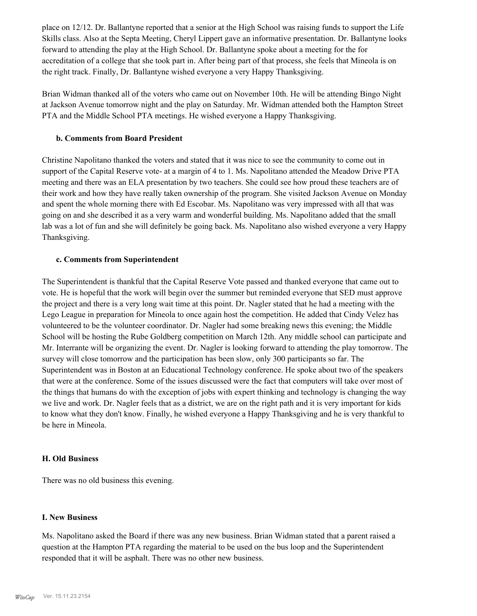place on 12/12. Dr. Ballantyne reported that a senior at the High School was raising funds to support the Life Skills class. Also at the Septa Meeting, Cheryl Lippert gave an informative presentation. Dr. Ballantyne looks forward to attending the play at the High School. Dr. Ballantyne spoke about a meeting for the for accreditation of a college that she took part in. After being part of that process, she feels that Mineola is on the right track. Finally, Dr. Ballantyne wished everyone a very Happy Thanksgiving.

Brian Widman thanked all of the voters who came out on November 10th. He will be attending Bingo Night at Jackson Avenue tomorrow night and the play on Saturday. Mr. Widman attended both the Hampton Street PTA and the Middle School PTA meetings. He wished everyone a Happy Thanksgiving.

#### **b. Comments from Board President**

Christine Napolitano thanked the voters and stated that it was nice to see the community to come out in support of the Capital Reserve vote- at a margin of 4 to 1. Ms. Napolitano attended the Meadow Drive PTA meeting and there was an ELA presentation by two teachers. She could see how proud these teachers are of their work and how they have really taken ownership of the program. She visited Jackson Avenue on Monday and spent the whole morning there with Ed Escobar. Ms. Napolitano was very impressed with all that was going on and she described it as a very warm and wonderful building. Ms. Napolitano added that the small lab was a lot of fun and she will definitely be going back. Ms. Napolitano also wished everyone a very Happy Thanksgiving.

#### **c. Comments from Superintendent**

The Superintendent is thankful that the Capital Reserve Vote passed and thanked everyone that came out to vote. He is hopeful that the work will begin over the summer but reminded everyone that SED must approve the project and there is a very long wait time at this point. Dr. Nagler stated that he had a meeting with the Lego League in preparation for Mineola to once again host the competition. He added that Cindy Velez has volunteered to be the volunteer coordinator. Dr. Nagler had some breaking news this evening; the Middle School will be hosting the Rube Goldberg competition on March 12th. Any middle school can participate and Mr. Interrante will be organizing the event. Dr. Nagler is looking forward to attending the play tomorrow. The survey will close tomorrow and the participation has been slow, only 300 participants so far. The Superintendent was in Boston at an Educational Technology conference. He spoke about two of the speakers that were at the conference. Some of the issues discussed were the fact that computers will take over most of the things that humans do with the exception of jobs with expert thinking and technology is changing the way we live and work. Dr. Nagler feels that as a district, we are on the right path and it is very important for kids to know what they don't know. Finally, he wished everyone a Happy Thanksgiving and he is very thankful to be here in Mineola.

#### **H. Old Business**

There was no old business this evening.

#### **I. New Business**

Ms. Napolitano asked the Board if there was any new business. Brian Widman stated that a parent raised a question at the Hampton PTA regarding the material to be used on the bus loop and the Superintendent responded that it will be asphalt. There was no other new business.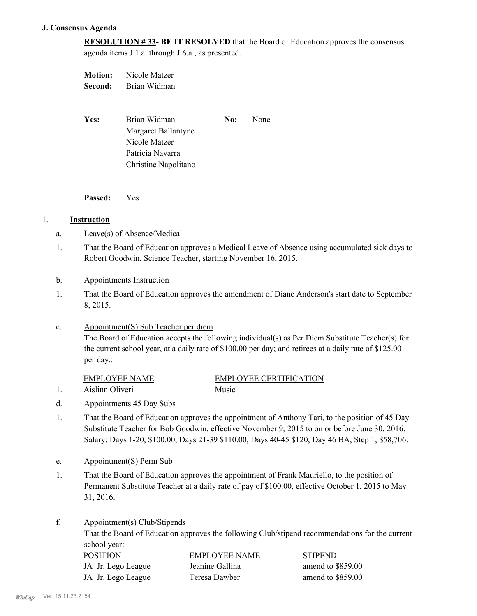## **J. Consensus Agenda**

**RESOLUTION # 33- BE IT RESOLVED** that the Board of Education approves the consensus agenda items J.1.a. through J.6.a., as presented.

| <b>Motion:</b> | Nicole Matzer |  |
|----------------|---------------|--|
| Second:        | Brian Widman  |  |

| <b>Yes:</b> | Brian Widman         | No: | None |
|-------------|----------------------|-----|------|
|             | Margaret Ballantyne  |     |      |
|             | Nicole Matzer        |     |      |
|             | Patricia Navarra     |     |      |
|             | Christine Napolitano |     |      |

**Passed:** Yes

# 1. **Instruction**

- a. Leave(s) of Absence/Medical
- That the Board of Education approves a Medical Leave of Absence using accumulated sick days to Robert Goodwin, Science Teacher, starting November 16, 2015. 1.
- b. Appointments Instruction
- That the Board of Education approves the amendment of Diane Anderson's start date to September 8, 2015. 1.
- Appointment(S) Sub Teacher per diem c.

The Board of Education accepts the following individual(s) as Per Diem Substitute Teacher(s) for the current school year, at a daily rate of \$100.00 per day; and retirees at a daily rate of \$125.00 per day.:

# EMPLOYEE CERTIFICATION

- 1. Aislinn Oliveri Music
	-
- d. Appointments 45 Day Subs
- That the Board of Education approves the appointment of Anthony Tari, to the position of 45 Day Substitute Teacher for Bob Goodwin, effective November 9, 2015 to on or before June 30, 2016. Salary: Days 1-20, \$100.00, Days 21-39 \$110.00, Days 40-45 \$120, Day 46 BA, Step 1, \$58,706. 1.
- e. Appointment(S) Perm Sub
- That the Board of Education approves the appointment of Frank Mauriello, to the position of Permanent Substitute Teacher at a daily rate of pay of \$100.00, effective October 1, 2015 to May 31, 2016. 1.
- Appointment(s) Club/Stipends f.

That the Board of Education approves the following Club/stipend recommendations for the current school year:

| <b>POSITION</b>    | <b>EMPLOYEE NAME</b> | <b>STIPEND</b>    |
|--------------------|----------------------|-------------------|
| JA Jr. Lego League | Jeanine Gallina      | amend to \$859.00 |
| JA Jr. Lego League | Teresa Dawber        | amend to \$859.00 |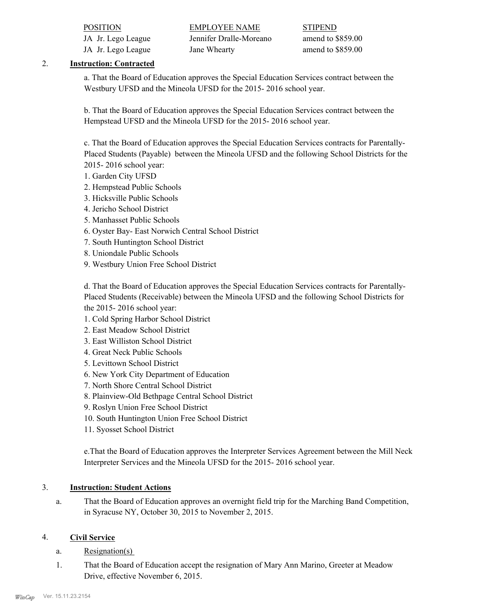| <b>POSITION</b>    | <b>EMPLOYEE NAME</b>    | <b>STIPEND</b>     |
|--------------------|-------------------------|--------------------|
| JA Jr. Lego League | Jennifer Dralle-Moreano | amend to $$859.00$ |
| JA Jr. Lego League | Jane Whearty            | amend to \$859.00  |

# 2. **Instruction: Contracted**

a. That the Board of Education approves the Special Education Services contract between the Westbury UFSD and the Mineola UFSD for the 2015- 2016 school year.

b. That the Board of Education approves the Special Education Services contract between the Hempstead UFSD and the Mineola UFSD for the 2015- 2016 school year.

c. That the Board of Education approves the Special Education Services contracts for Parentally-Placed Students (Payable) between the Mineola UFSD and the following School Districts for the 2015- 2016 school year:

- 1. Garden City UFSD
- 2. Hempstead Public Schools
- 3. Hicksville Public Schools
- 4. Jericho School District
- 5. Manhasset Public Schools
- 6. Oyster Bay- East Norwich Central School District
- 7. South Huntington School District
- 8. Uniondale Public Schools
- 9. Westbury Union Free School District

d. That the Board of Education approves the Special Education Services contracts for Parentally-Placed Students (Receivable) between the Mineola UFSD and the following School Districts for the 2015- 2016 school year:

- 1. Cold Spring Harbor School District
- 2. East Meadow School District
- 3. East Williston School District
- 4. Great Neck Public Schools
- 5. Levittown School District
- 6. New York City Department of Education
- 7. North Shore Central School District
- 8. Plainview-Old Bethpage Central School District
- 9. Roslyn Union Free School District
- 10. South Huntington Union Free School District
- 11. Syosset School District

e.That the Board of Education approves the Interpreter Services Agreement between the Mill Neck Interpreter Services and the Mineola UFSD for the 2015- 2016 school year.

# 3. **Instruction: Student Actions**

That the Board of Education approves an overnight field trip for the Marching Band Competition, in Syracuse NY, October 30, 2015 to November 2, 2015. a.

# 4. **Civil Service**

- a. Resignation(s)
- That the Board of Education accept the resignation of Mary Ann Marino, Greeter at Meadow Drive, effective November 6, 2015. 1.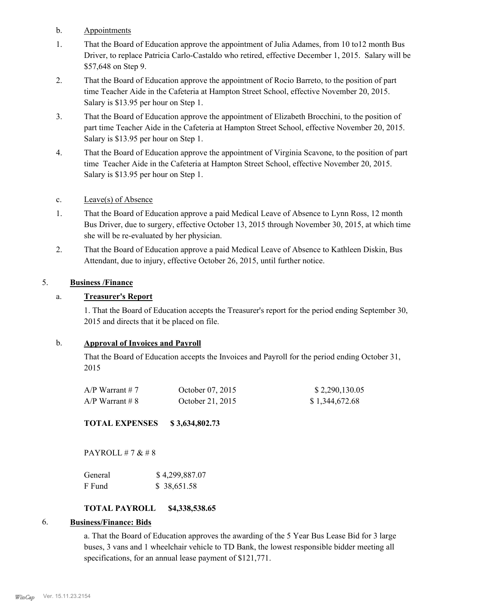- b. Appointments
- That the Board of Education approve the appointment of Julia Adames, from 10 to12 month Bus Driver, to replace Patricia Carlo-Castaldo who retired, effective December 1, 2015. Salary will be \$57,648 on Step 9. 1.
- That the Board of Education approve the appointment of Rocio Barreto, to the position of part time Teacher Aide in the Cafeteria at Hampton Street School, effective November 20, 2015. Salary is \$13.95 per hour on Step 1. 2.
- That the Board of Education approve the appointment of Elizabeth Brocchini, to the position of part time Teacher Aide in the Cafeteria at Hampton Street School, effective November 20, 2015. Salary is \$13.95 per hour on Step 1. 3.
- That the Board of Education approve the appointment of Virginia Scavone, to the position of part time Teacher Aide in the Cafeteria at Hampton Street School, effective November 20, 2015. Salary is \$13.95 per hour on Step 1. 4.

# c. Leave(s) of Absence

- That the Board of Education approve a paid Medical Leave of Absence to Lynn Ross, 12 month Bus Driver, due to surgery, effective October 13, 2015 through November 30, 2015, at which time she will be re-evaluated by her physician. 1.
- That the Board of Education approve a paid Medical Leave of Absence to Kathleen Diskin, Bus Attendant, due to injury, effective October 26, 2015, until further notice. 2.

# 5. **Business /Finance**

# a. **Treasurer's Report**

1. That the Board of Education accepts the Treasurer's report for the period ending September 30, 2015 and directs that it be placed on file.

# b. **Approval of Invoices and Payroll**

That the Board of Education accepts the Invoices and Payroll for the period ending October 31, 2015

| $A/P$ Warrant # 7 | October 07, 2015 | \$2,290,130.05 |
|-------------------|------------------|----------------|
| $A/P$ Warrant # 8 | October 21, 2015 | \$1,344,672.68 |

**TOTAL EXPENSES \$ 3,634,802.73**

# PAYROLL # 7 & # 8

| General | \$4,299,887.07 |  |  |
|---------|----------------|--|--|
| F Fund  | \$ 38,651.58   |  |  |

# **TOTAL PAYROLL \$4,338,538.65**

# 6. **Business/Finance: Bids**

a. That the Board of Education approves the awarding of the 5 Year Bus Lease Bid for 3 large buses, 3 vans and 1 wheelchair vehicle to TD Bank, the lowest responsible bidder meeting all specifications, for an annual lease payment of \$121,771.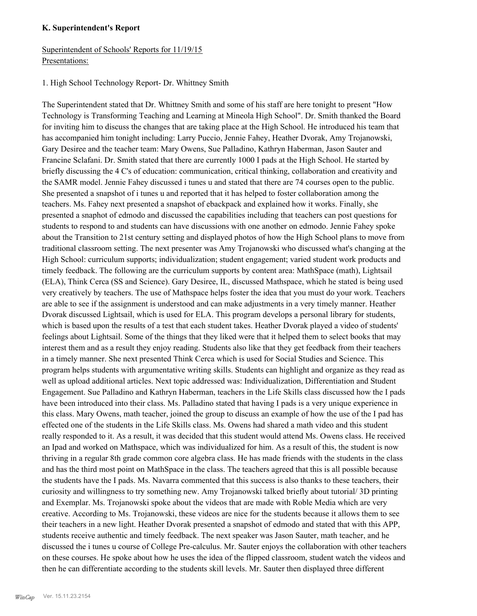## **K. Superintendent's Report**

# Superintendent of Schools' Reports for 11/19/15 Presentations:

# 1. High School Technology Report- Dr. Whittney Smith

The Superintendent stated that Dr. Whittney Smith and some of his staff are here tonight to present "How Technology is Transforming Teaching and Learning at Mineola High School". Dr. Smith thanked the Board for inviting him to discuss the changes that are taking place at the High School. He introduced his team that has accompanied him tonight including: Larry Puccio, Jennie Fahey, Heather Dvorak, Amy Trojanowski, Gary Desiree and the teacher team: Mary Owens, Sue Palladino, Kathryn Haberman, Jason Sauter and Francine Sclafani. Dr. Smith stated that there are currently 1000 I pads at the High School. He started by briefly discussing the 4 C's of education: communication, critical thinking, collaboration and creativity and the SAMR model. Jennie Fahey discussed i tunes u and stated that there are 74 courses open to the public. She presented a snapshot of i tunes u and reported that it has helped to foster collaboration among the teachers. Ms. Fahey next presented a snapshot of ebackpack and explained how it works. Finally, she presented a snaphot of edmodo and discussed the capabilities including that teachers can post questions for students to respond to and students can have discussions with one another on edmodo. Jennie Fahey spoke about the Transition to 21st century setting and displayed photos of how the High School plans to move from traditional classroom setting. The next presenter was Amy Trojanowski who discussed what's changing at the High School: curriculum supports; individualization; student engagement; varied student work products and timely feedback. The following are the curriculum supports by content area: MathSpace (math), Lightsail (ELA), Think Cerca (SS and Science). Gary Desiree, IL, discussed Mathspace, which he stated is being used very creatively by teachers. The use of Mathspace helps foster the idea that you must do your work. Teachers are able to see if the assignment is understood and can make adjustments in a very timely manner. Heather Dvorak discussed Lightsail, which is used for ELA. This program develops a personal library for students, which is based upon the results of a test that each student takes. Heather Dvorak played a video of students' feelings about Lightsail. Some of the things that they liked were that it helped them to select books that may interest them and as a result they enjoy reading. Students also like that they get feedback from their teachers in a timely manner. She next presented Think Cerca which is used for Social Studies and Science. This program helps students with argumentative writing skills. Students can highlight and organize as they read as well as upload additional articles. Next topic addressed was: Individualization, Differentiation and Student Engagement. Sue Palladino and Kathryn Haberman, teachers in the Life Skills class discussed how the I pads have been introduced into their class. Ms. Palladino stated that having I pads is a very unique experience in this class. Mary Owens, math teacher, joined the group to discuss an example of how the use of the I pad has effected one of the students in the Life Skills class. Ms. Owens had shared a math video and this student really responded to it. As a result, it was decided that this student would attend Ms. Owens class. He received an Ipad and worked on Mathspace, which was individualized for him. As a result of this, the student is now thriving in a regular 8th grade common core algebra class. He has made friends with the students in the class and has the third most point on MathSpace in the class. The teachers agreed that this is all possible because the students have the I pads. Ms. Navarra commented that this success is also thanks to these teachers, their curiosity and willingness to try something new. Amy Trojanowski talked briefly about tutorial/ 3D printing and Exemplar. Ms. Trojanowski spoke about the videos that are made with Roble Media which are very creative. According to Ms. Trojanowski, these videos are nice for the students because it allows them to see their teachers in a new light. Heather Dvorak presented a snapshot of edmodo and stated that with this APP, students receive authentic and timely feedback. The next speaker was Jason Sauter, math teacher, and he discussed the i tunes u course of College Pre-calculus. Mr. Sauter enjoys the collaboration with other teachers on these courses. He spoke about how he uses the idea of the flipped classroom, student watch the videos and then he can differentiate according to the students skill levels. Mr. Sauter then displayed three different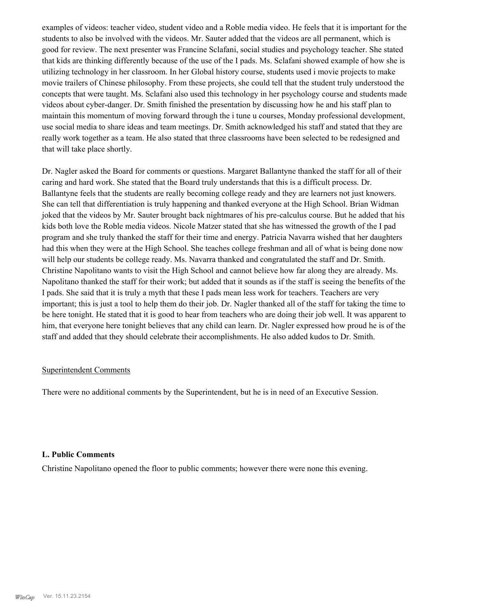examples of videos: teacher video, student video and a Roble media video. He feels that it is important for the students to also be involved with the videos. Mr. Sauter added that the videos are all permanent, which is good for review. The next presenter was Francine Sclafani, social studies and psychology teacher. She stated that kids are thinking differently because of the use of the I pads. Ms. Sclafani showed example of how she is utilizing technology in her classroom. In her Global history course, students used i movie projects to make movie trailers of Chinese philosophy. From these projects, she could tell that the student truly understood the concepts that were taught. Ms. Sclafani also used this technology in her psychology course and students made videos about cyber-danger. Dr. Smith finished the presentation by discussing how he and his staff plan to maintain this momentum of moving forward through the i tune u courses, Monday professional development, use social media to share ideas and team meetings. Dr. Smith acknowledged his staff and stated that they are really work together as a team. He also stated that three classrooms have been selected to be redesigned and that will take place shortly.

Dr. Nagler asked the Board for comments or questions. Margaret Ballantyne thanked the staff for all of their caring and hard work. She stated that the Board truly understands that this is a difficult process. Dr. Ballantyne feels that the students are really becoming college ready and they are learners not just knowers. She can tell that differentiation is truly happening and thanked everyone at the High School. Brian Widman joked that the videos by Mr. Sauter brought back nightmares of his pre-calculus course. But he added that his kids both love the Roble media videos. Nicole Matzer stated that she has witnessed the growth of the I pad program and she truly thanked the staff for their time and energy. Patricia Navarra wished that her daughters had this when they were at the High School. She teaches college freshman and all of what is being done now will help our students be college ready. Ms. Navarra thanked and congratulated the staff and Dr. Smith. Christine Napolitano wants to visit the High School and cannot believe how far along they are already. Ms. Napolitano thanked the staff for their work; but added that it sounds as if the staff is seeing the benefits of the I pads. She said that it is truly a myth that these I pads mean less work for teachers. Teachers are very important; this is just a tool to help them do their job. Dr. Nagler thanked all of the staff for taking the time to be here tonight. He stated that it is good to hear from teachers who are doing their job well. It was apparent to him, that everyone here tonight believes that any child can learn. Dr. Nagler expressed how proud he is of the staff and added that they should celebrate their accomplishments. He also added kudos to Dr. Smith.

#### Superintendent Comments

There were no additional comments by the Superintendent, but he is in need of an Executive Session.

#### **L. Public Comments**

Christine Napolitano opened the floor to public comments; however there were none this evening.